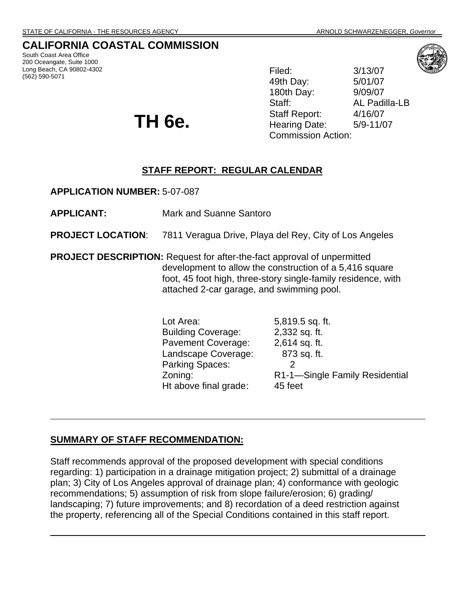### **CALIFORNIA COASTAL COMMISSION**

South Coast Area Office 200 Oceangate, Suite 1000 Long Beach, CA 90802-4302 (562) 590-5071 Filed: 3/13/07

49th Day: 5/01/07 180th Day: 9/09/07 Staff: AL Padilla-LB Staff Report: 4/16/07 Hearing Date: 5/9-11/07 Commission Action:



 **TH 6e.** 

## **STAFF REPORT: REGULAR CALENDAR**

**APPLICATION NUMBER:** 5-07-087

**APPLICANT:** Mark and Suanne Santoro

**PROJECT LOCATION:** 7811 Veragua Drive, Playa del Rey, City of Los Angeles

**PROJECT DESCRIPTION:** Request for after-the-fact approval of unpermitted development to allow the construction of a 5,416 square foot, 45 foot high, three-story single-family residence, with attached 2-car garage, and swimming pool.

> Lot Area: 5,819.5 sq. ft. Building Coverage: 2,332 sq. ft. Pavement Coverage: 2,614 sq. ft. Landscape Coverage: 873 sq. ft. Parking Spaces: 2 Zoning: R1-1—Single Family Residential Ht above final grade: 45 feet

#### **SUMMARY OF STAFF RECOMMENDATION:**

Staff recommends approval of the proposed development with special conditions regarding: 1) participation in a drainage mitigation project; 2) submittal of a drainage plan; 3) City of Los Angeles approval of drainage plan; 4) conformance with geologic recommendations; 5) assumption of risk from slope failure/erosion; 6) grading/ landscaping; 7) future improvements; and 8) recordation of a deed restriction against the property, referencing all of the Special Conditions contained in this staff report.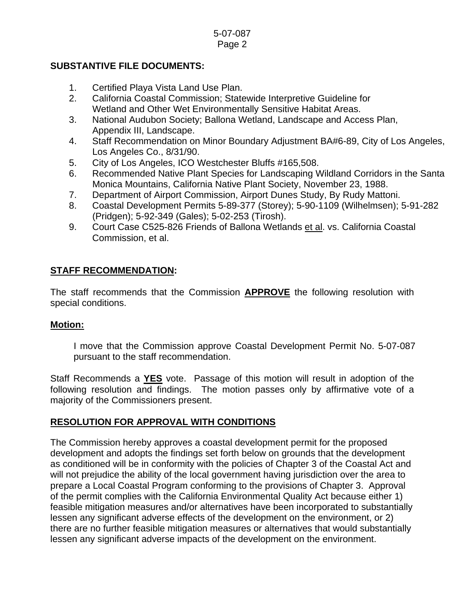### **SUBSTANTIVE FILE DOCUMENTS:**

- 1. Certified Playa Vista Land Use Plan.
- 2. California Coastal Commission; Statewide Interpretive Guideline for Wetland and Other Wet Environmentally Sensitive Habitat Areas.
- 3. National Audubon Society; Ballona Wetland, Landscape and Access Plan, Appendix III, Landscape.
- 4. Staff Recommendation on Minor Boundary Adjustment BA#6-89, City of Los Angeles, Los Angeles Co., 8/31/90.
- 5. City of Los Angeles, ICO Westchester Bluffs #165,508.
- 6. Recommended Native Plant Species for Landscaping Wildland Corridors in the Santa Monica Mountains, California Native Plant Society, November 23, 1988.
- 7. Department of Airport Commission, Airport Dunes Study, By Rudy Mattoni.
- 8. Coastal Development Permits 5-89-377 (Storey); 5-90-1109 (Wilhelmsen); 5-91-282 (Pridgen); 5-92-349 (Gales); 5-02-253 (Tirosh).
- 9. Court Case C525-826 Friends of Ballona Wetlands et al. vs. California Coastal Commission, et al.

### **STAFF RECOMMENDATION:**

The staff recommends that the Commission **APPROVE** the following resolution with special conditions.

### **Motion:**

I move that the Commission approve Coastal Development Permit No. 5-07-087 pursuant to the staff recommendation.

Staff Recommends a **YES** vote. Passage of this motion will result in adoption of the following resolution and findings. The motion passes only by affirmative vote of a majority of the Commissioners present.

## **RESOLUTION FOR APPROVAL WITH CONDITIONS**

The Commission hereby approves a coastal development permit for the proposed development and adopts the findings set forth below on grounds that the development as conditioned will be in conformity with the policies of Chapter 3 of the Coastal Act and will not prejudice the ability of the local government having jurisdiction over the area to prepare a Local Coastal Program conforming to the provisions of Chapter 3. Approval of the permit complies with the California Environmental Quality Act because either 1) feasible mitigation measures and/or alternatives have been incorporated to substantially lessen any significant adverse effects of the development on the environment, or 2) there are no further feasible mitigation measures or alternatives that would substantially lessen any significant adverse impacts of the development on the environment.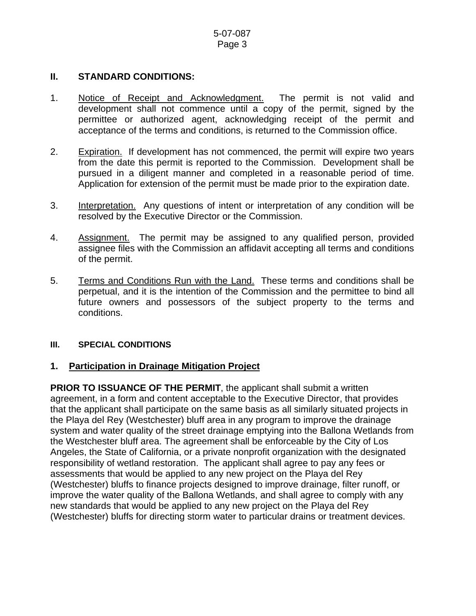### **II. STANDARD CONDITIONS:**

- 1. Notice of Receipt and Acknowledgment. The permit is not valid and development shall not commence until a copy of the permit, signed by the permittee or authorized agent, acknowledging receipt of the permit and acceptance of the terms and conditions, is returned to the Commission office.
- 2. Expiration. If development has not commenced, the permit will expire two years from the date this permit is reported to the Commission. Development shall be pursued in a diligent manner and completed in a reasonable period of time. Application for extension of the permit must be made prior to the expiration date.
- 3. Interpretation. Any questions of intent or interpretation of any condition will be resolved by the Executive Director or the Commission.
- 4. Assignment. The permit may be assigned to any qualified person, provided assignee files with the Commission an affidavit accepting all terms and conditions of the permit.
- 5. Terms and Conditions Run with the Land. These terms and conditions shall be perpetual, and it is the intention of the Commission and the permittee to bind all future owners and possessors of the subject property to the terms and conditions.

### **III. SPECIAL CONDITIONS**

## **1. Participation in Drainage Mitigation Project**

**PRIOR TO ISSUANCE OF THE PERMIT, the applicant shall submit a written** agreement, in a form and content acceptable to the Executive Director, that provides that the applicant shall participate on the same basis as all similarly situated projects in the Playa del Rey (Westchester) bluff area in any program to improve the drainage system and water quality of the street drainage emptying into the Ballona Wetlands from the Westchester bluff area. The agreement shall be enforceable by the City of Los Angeles, the State of California, or a private nonprofit organization with the designated responsibility of wetland restoration. The applicant shall agree to pay any fees or assessments that would be applied to any new project on the Playa del Rey (Westchester) bluffs to finance projects designed to improve drainage, filter runoff, or improve the water quality of the Ballona Wetlands, and shall agree to comply with any new standards that would be applied to any new project on the Playa del Rey (Westchester) bluffs for directing storm water to particular drains or treatment devices.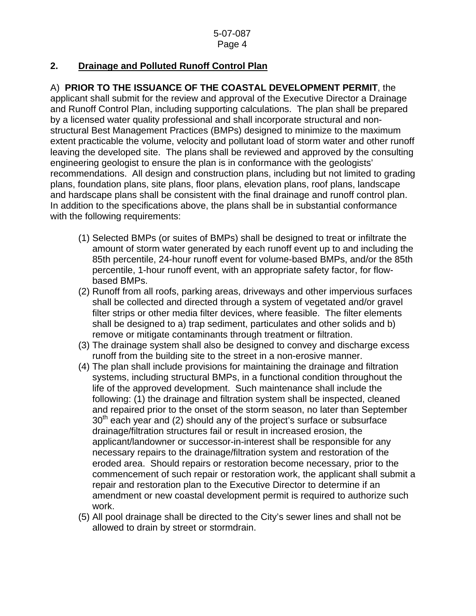# **2. Drainage and Polluted Runoff Control Plan**

A) **PRIOR TO THE ISSUANCE OF THE COASTAL DEVELOPMENT PERMIT**, the applicant shall submit for the review and approval of the Executive Director a Drainage and Runoff Control Plan, including supporting calculations. The plan shall be prepared by a licensed water quality professional and shall incorporate structural and nonstructural Best Management Practices (BMPs) designed to minimize to the maximum extent practicable the volume, velocity and pollutant load of storm water and other runoff leaving the developed site. The plans shall be reviewed and approved by the consulting engineering geologist to ensure the plan is in conformance with the geologists' recommendations. All design and construction plans, including but not limited to grading plans, foundation plans, site plans, floor plans, elevation plans, roof plans, landscape and hardscape plans shall be consistent with the final drainage and runoff control plan. In addition to the specifications above, the plans shall be in substantial conformance with the following requirements:

- (1) Selected BMPs (or suites of BMPs) shall be designed to treat or infiltrate the amount of storm water generated by each runoff event up to and including the 85th percentile, 24-hour runoff event for volume-based BMPs, and/or the 85th percentile, 1-hour runoff event, with an appropriate safety factor, for flowbased BMPs.
- (2) Runoff from all roofs, parking areas, driveways and other impervious surfaces shall be collected and directed through a system of vegetated and/or gravel filter strips or other media filter devices, where feasible. The filter elements shall be designed to a) trap sediment, particulates and other solids and b) remove or mitigate contaminants through treatment or filtration.
- (3) The drainage system shall also be designed to convey and discharge excess runoff from the building site to the street in a non-erosive manner.
- (4) The plan shall include provisions for maintaining the drainage and filtration systems, including structural BMPs, in a functional condition throughout the life of the approved development. Such maintenance shall include the following: (1) the drainage and filtration system shall be inspected, cleaned and repaired prior to the onset of the storm season, no later than September  $30<sup>th</sup>$  each year and (2) should any of the project's surface or subsurface drainage/filtration structures fail or result in increased erosion, the applicant/landowner or successor-in-interest shall be responsible for any necessary repairs to the drainage/filtration system and restoration of the eroded area. Should repairs or restoration become necessary, prior to the commencement of such repair or restoration work, the applicant shall submit a repair and restoration plan to the Executive Director to determine if an amendment or new coastal development permit is required to authorize such work.
- (5) All pool drainage shall be directed to the City's sewer lines and shall not be allowed to drain by street or stormdrain.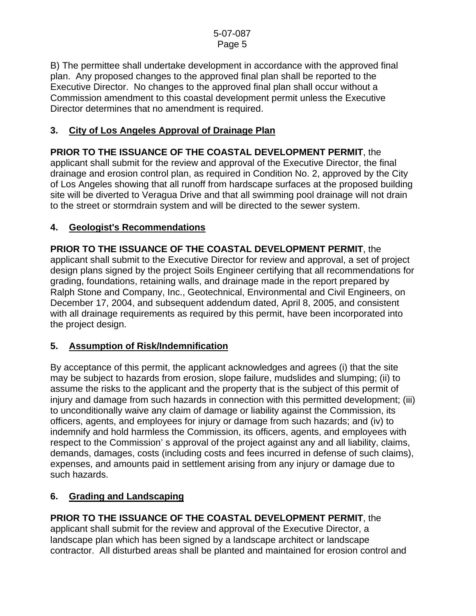B) The permittee shall undertake development in accordance with the approved final plan. Any proposed changes to the approved final plan shall be reported to the Executive Director. No changes to the approved final plan shall occur without a Commission amendment to this coastal development permit unless the Executive Director determines that no amendment is required.

# **3. City of Los Angeles Approval of Drainage Plan**

**PRIOR TO THE ISSUANCE OF THE COASTAL DEVELOPMENT PERMIT**, the applicant shall submit for the review and approval of the Executive Director, the final drainage and erosion control plan, as required in Condition No. 2, approved by the City of Los Angeles showing that all runoff from hardscape surfaces at the proposed building site will be diverted to Veragua Drive and that all swimming pool drainage will not drain to the street or stormdrain system and will be directed to the sewer system.

## **4. Geologist's Recommendations**

**PRIOR TO THE ISSUANCE OF THE COASTAL DEVELOPMENT PERMIT**, the applicant shall submit to the Executive Director for review and approval, a set of project design plans signed by the project Soils Engineer certifying that all recommendations for grading, foundations, retaining walls, and drainage made in the report prepared by Ralph Stone and Company, Inc., Geotechnical, Environmental and Civil Engineers, on December 17, 2004, and subsequent addendum dated, April 8, 2005, and consistent with all drainage requirements as required by this permit, have been incorporated into the project design.

## **5. Assumption of Risk/Indemnification**

By acceptance of this permit, the applicant acknowledges and agrees (i) that the site may be subject to hazards from erosion, slope failure, mudslides and slumping; (ii) to assume the risks to the applicant and the property that is the subject of this permit of injury and damage from such hazards in connection with this permitted development; (iii) to unconditionally waive any claim of damage or liability against the Commission, its officers, agents, and employees for injury or damage from such hazards; and (iv) to indemnify and hold harmless the Commission, its officers, agents, and employees with respect to the Commission' s approval of the project against any and all liability, claims, demands, damages, costs (including costs and fees incurred in defense of such claims), expenses, and amounts paid in settlement arising from any injury or damage due to such hazards.

## **6. Grading and Landscaping**

# **PRIOR TO THE ISSUANCE OF THE COASTAL DEVELOPMENT PERMIT**, the

applicant shall submit for the review and approval of the Executive Director, a landscape plan which has been signed by a landscape architect or landscape contractor. All disturbed areas shall be planted and maintained for erosion control and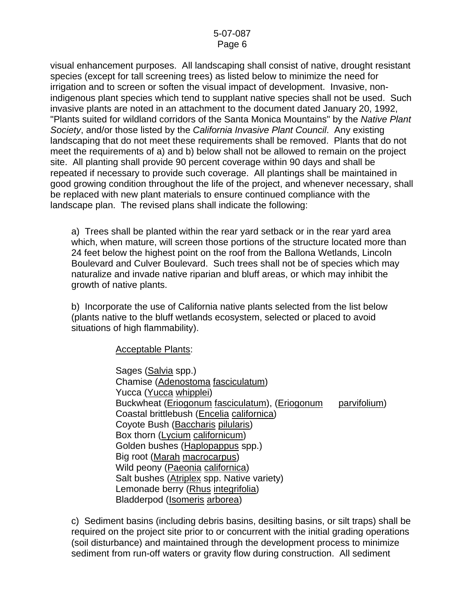visual enhancement purposes. All landscaping shall consist of native, drought resistant species (except for tall screening trees) as listed below to minimize the need for irrigation and to screen or soften the visual impact of development. Invasive, nonindigenous plant species which tend to supplant native species shall not be used. Such invasive plants are noted in an attachment to the document dated January 20, 1992, "Plants suited for wildland corridors of the Santa Monica Mountains" by the *Native Plant Society*, and/or those listed by the *California Invasive Plant Council*. Any existing landscaping that do not meet these requirements shall be removed. Plants that do not meet the requirements of a) and b) below shall not be allowed to remain on the project site. All planting shall provide 90 percent coverage within 90 days and shall be repeated if necessary to provide such coverage. All plantings shall be maintained in good growing condition throughout the life of the project, and whenever necessary, shall be replaced with new plant materials to ensure continued compliance with the landscape plan. The revised plans shall indicate the following:

 a) Trees shall be planted within the rear yard setback or in the rear yard area which, when mature, will screen those portions of the structure located more than 24 feet below the highest point on the roof from the Ballona Wetlands, Lincoln Boulevard and Culver Boulevard. Such trees shall not be of species which may naturalize and invade native riparian and bluff areas, or which may inhibit the growth of native plants.

 b) Incorporate the use of California native plants selected from the list below (plants native to the bluff wetlands ecosystem, selected or placed to avoid situations of high flammability).

Acceptable Plants:

 Sages (Salvia spp.) Chamise (Adenostoma fasciculatum) Yucca (Yucca whipplei) Buckwheat (Eriogonum fasciculatum), (Eriogonum parvifolium) Coastal brittlebush (Encelia californica) Coyote Bush (Baccharis pilularis) Box thorn (Lycium californicum) Golden bushes (Haplopappus spp.) Big root (Marah macrocarpus) Wild peony (Paeonia californica) Salt bushes (Atriplex spp. Native variety) Lemonade berry (Rhus integrifolia) Bladderpod (Isomeris arborea)

c) Sediment basins (including debris basins, desilting basins, or silt traps) shall be required on the project site prior to or concurrent with the initial grading operations (soil disturbance) and maintained through the development process to minimize sediment from run-off waters or gravity flow during construction. All sediment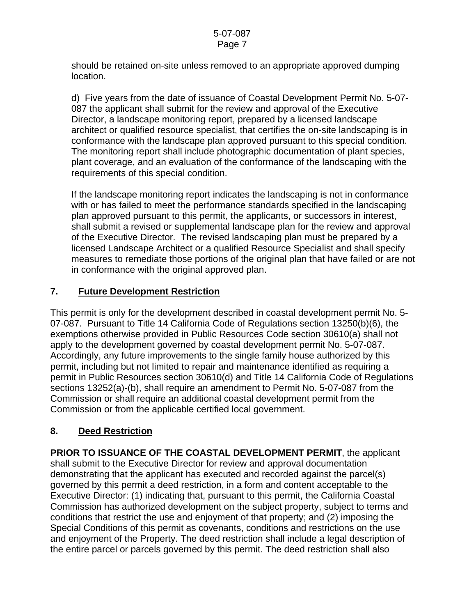should be retained on-site unless removed to an appropriate approved dumping location.

 d) Five years from the date of issuance of Coastal Development Permit No. 5-07- 087 the applicant shall submit for the review and approval of the Executive Director, a landscape monitoring report, prepared by a licensed landscape architect or qualified resource specialist, that certifies the on-site landscaping is in conformance with the landscape plan approved pursuant to this special condition. The monitoring report shall include photographic documentation of plant species, plant coverage, and an evaluation of the conformance of the landscaping with the requirements of this special condition.

If the landscape monitoring report indicates the landscaping is not in conformance with or has failed to meet the performance standards specified in the landscaping plan approved pursuant to this permit, the applicants, or successors in interest, shall submit a revised or supplemental landscape plan for the review and approval of the Executive Director. The revised landscaping plan must be prepared by a licensed Landscape Architect or a qualified Resource Specialist and shall specify measures to remediate those portions of the original plan that have failed or are not in conformance with the original approved plan.

## **7. Future Development Restriction**

This permit is only for the development described in coastal development permit No. 5- 07-087. Pursuant to Title 14 California Code of Regulations section 13250(b)(6), the exemptions otherwise provided in Public Resources Code section 30610(a) shall not apply to the development governed by coastal development permit No. 5-07-087. Accordingly, any future improvements to the single family house authorized by this permit, including but not limited to repair and maintenance identified as requiring a permit in Public Resources section 30610(d) and Title 14 California Code of Regulations sections 13252(a)-(b), shall require an amendment to Permit No. 5-07-087 from the Commission or shall require an additional coastal development permit from the Commission or from the applicable certified local government.

# **8. Deed Restriction**

**PRIOR TO ISSUANCE OF THE COASTAL DEVELOPMENT PERMIT**, the applicant shall submit to the Executive Director for review and approval documentation demonstrating that the applicant has executed and recorded against the parcel(s) governed by this permit a deed restriction, in a form and content acceptable to the Executive Director: (1) indicating that, pursuant to this permit, the California Coastal Commission has authorized development on the subject property, subject to terms and conditions that restrict the use and enjoyment of that property; and (2) imposing the Special Conditions of this permit as covenants, conditions and restrictions on the use and enjoyment of the Property. The deed restriction shall include a legal description of the entire parcel or parcels governed by this permit. The deed restriction shall also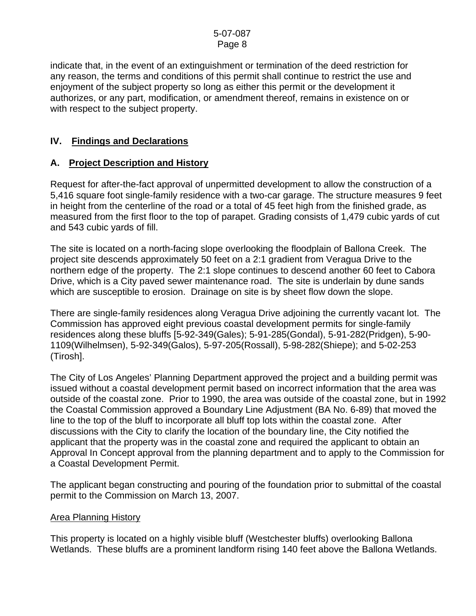indicate that, in the event of an extinguishment or termination of the deed restriction for any reason, the terms and conditions of this permit shall continue to restrict the use and enjoyment of the subject property so long as either this permit or the development it authorizes, or any part, modification, or amendment thereof, remains in existence on or with respect to the subject property.

## **IV. Findings and Declarations**

### **A. Project Description and History**

Request for after-the-fact approval of unpermitted development to allow the construction of a 5,416 square foot single-family residence with a two-car garage. The structure measures 9 feet in height from the centerline of the road or a total of 45 feet high from the finished grade, as measured from the first floor to the top of parapet. Grading consists of 1,479 cubic yards of cut and 543 cubic yards of fill.

The site is located on a north-facing slope overlooking the floodplain of Ballona Creek. The project site descends approximately 50 feet on a 2:1 gradient from Veragua Drive to the northern edge of the property. The 2:1 slope continues to descend another 60 feet to Cabora Drive, which is a City paved sewer maintenance road. The site is underlain by dune sands which are susceptible to erosion. Drainage on site is by sheet flow down the slope.

There are single-family residences along Veragua Drive adjoining the currently vacant lot. The Commission has approved eight previous coastal development permits for single-family residences along these bluffs [5-92-349(Gales); 5-91-285(Gondal), 5-91-282(Pridgen), 5-90- 1109(Wilhelmsen), 5-92-349(Galos), 5-97-205(Rossall), 5-98-282(Shiepe); and 5-02-253 (Tirosh].

The City of Los Angeles' Planning Department approved the project and a building permit was issued without a coastal development permit based on incorrect information that the area was outside of the coastal zone. Prior to 1990, the area was outside of the coastal zone, but in 1992 the Coastal Commission approved a Boundary Line Adjustment (BA No. 6-89) that moved the line to the top of the bluff to incorporate all bluff top lots within the coastal zone. After discussions with the City to clarify the location of the boundary line, the City notified the applicant that the property was in the coastal zone and required the applicant to obtain an Approval In Concept approval from the planning department and to apply to the Commission for a Coastal Development Permit.

The applicant began constructing and pouring of the foundation prior to submittal of the coastal permit to the Commission on March 13, 2007.

### Area Planning History

This property is located on a highly visible bluff (Westchester bluffs) overlooking Ballona Wetlands. These bluffs are a prominent landform rising 140 feet above the Ballona Wetlands.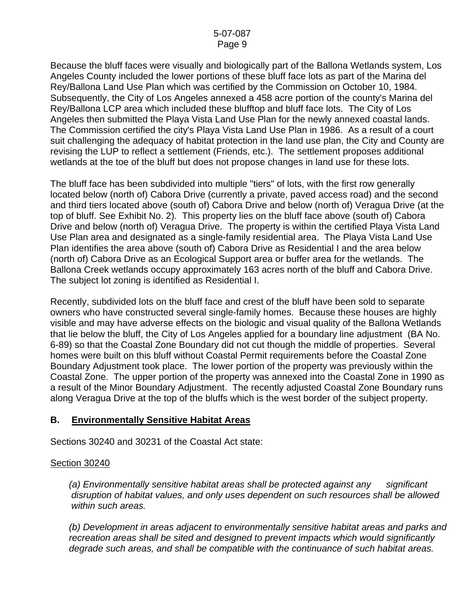Because the bluff faces were visually and biologically part of the Ballona Wetlands system, Los Angeles County included the lower portions of these bluff face lots as part of the Marina del Rey/Ballona Land Use Plan which was certified by the Commission on October 10, 1984. Subsequently, the City of Los Angeles annexed a 458 acre portion of the county's Marina del Rey/Ballona LCP area which included these blufftop and bluff face lots. The City of Los Angeles then submitted the Playa Vista Land Use Plan for the newly annexed coastal lands. The Commission certified the city's Playa Vista Land Use Plan in 1986. As a result of a court suit challenging the adequacy of habitat protection in the land use plan, the City and County are revising the LUP to reflect a settlement (Friends, etc.). The settlement proposes additional wetlands at the toe of the bluff but does not propose changes in land use for these lots.

The bluff face has been subdivided into multiple "tiers" of lots, with the first row generally located below (north of) Cabora Drive (currently a private, paved access road) and the second and third tiers located above (south of) Cabora Drive and below (north of) Veragua Drive (at the top of bluff. See Exhibit No. 2). This property lies on the bluff face above (south of) Cabora Drive and below (north of) Veragua Drive. The property is within the certified Playa Vista Land Use Plan area and designated as a single-family residential area. The Playa Vista Land Use Plan identifies the area above (south of) Cabora Drive as Residential I and the area below (north of) Cabora Drive as an Ecological Support area or buffer area for the wetlands. The Ballona Creek wetlands occupy approximately 163 acres north of the bluff and Cabora Drive. The subject lot zoning is identified as Residential I.

Recently, subdivided lots on the bluff face and crest of the bluff have been sold to separate owners who have constructed several single-family homes. Because these houses are highly visible and may have adverse effects on the biologic and visual quality of the Ballona Wetlands that lie below the bluff, the City of Los Angeles applied for a boundary line adjustment (BA No. 6-89) so that the Coastal Zone Boundary did not cut though the middle of properties. Several homes were built on this bluff without Coastal Permit requirements before the Coastal Zone Boundary Adjustment took place. The lower portion of the property was previously within the Coastal Zone. The upper portion of the property was annexed into the Coastal Zone in 1990 as a result of the Minor Boundary Adjustment. The recently adjusted Coastal Zone Boundary runs along Veragua Drive at the top of the bluffs which is the west border of the subject property.

### **B. Environmentally Sensitive Habitat Areas**

Sections 30240 and 30231 of the Coastal Act state:

### Section 30240

*(a) Environmentally sensitive habitat areas shall be protected against any significant disruption of habitat values, and only uses dependent on such resources shall be allowed within such areas.* 

 *(b) Development in areas adjacent to environmentally sensitive habitat areas and parks and recreation areas shall be sited and designed to prevent impacts which would significantly degrade such areas, and shall be compatible with the continuance of such habitat areas.*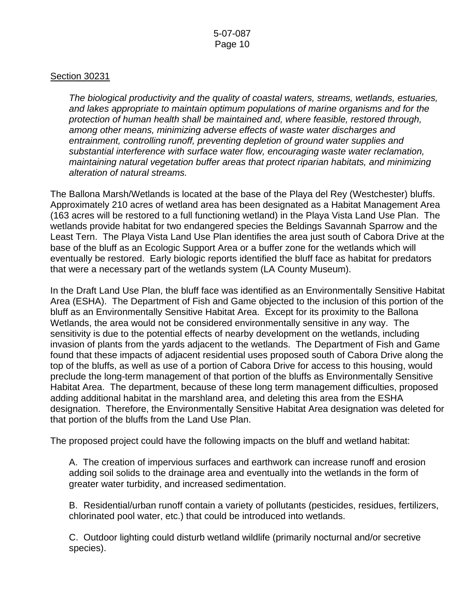#### Section 30231

*The biological productivity and the quality of coastal waters, streams, wetlands, estuaries, and lakes appropriate to maintain optimum populations of marine organisms and for the protection of human health shall be maintained and, where feasible, restored through, among other means, minimizing adverse effects of waste water discharges and entrainment, controlling runoff, preventing depletion of ground water supplies and substantial interference with surface water flow, encouraging waste water reclamation, maintaining natural vegetation buffer areas that protect riparian habitats, and minimizing alteration of natural streams.* 

The Ballona Marsh/Wetlands is located at the base of the Playa del Rey (Westchester) bluffs. Approximately 210 acres of wetland area has been designated as a Habitat Management Area (163 acres will be restored to a full functioning wetland) in the Playa Vista Land Use Plan. The wetlands provide habitat for two endangered species the Beldings Savannah Sparrow and the Least Tern. The Playa Vista Land Use Plan identifies the area just south of Cabora Drive at the base of the bluff as an Ecologic Support Area or a buffer zone for the wetlands which will eventually be restored. Early biologic reports identified the bluff face as habitat for predators that were a necessary part of the wetlands system (LA County Museum).

In the Draft Land Use Plan, the bluff face was identified as an Environmentally Sensitive Habitat Area (ESHA). The Department of Fish and Game objected to the inclusion of this portion of the bluff as an Environmentally Sensitive Habitat Area. Except for its proximity to the Ballona Wetlands, the area would not be considered environmentally sensitive in any way. The sensitivity is due to the potential effects of nearby development on the wetlands, including invasion of plants from the yards adjacent to the wetlands. The Department of Fish and Game found that these impacts of adjacent residential uses proposed south of Cabora Drive along the top of the bluffs, as well as use of a portion of Cabora Drive for access to this housing, would preclude the long-term management of that portion of the bluffs as Environmentally Sensitive Habitat Area. The department, because of these long term management difficulties, proposed adding additional habitat in the marshland area, and deleting this area from the ESHA designation. Therefore, the Environmentally Sensitive Habitat Area designation was deleted for that portion of the bluffs from the Land Use Plan.

The proposed project could have the following impacts on the bluff and wetland habitat:

 A. The creation of impervious surfaces and earthwork can increase runoff and erosion adding soil solids to the drainage area and eventually into the wetlands in the form of greater water turbidity, and increased sedimentation.

B. Residential/urban runoff contain a variety of pollutants (pesticides, residues, fertilizers, chlorinated pool water, etc.) that could be introduced into wetlands.

 C. Outdoor lighting could disturb wetland wildlife (primarily nocturnal and/or secretive species).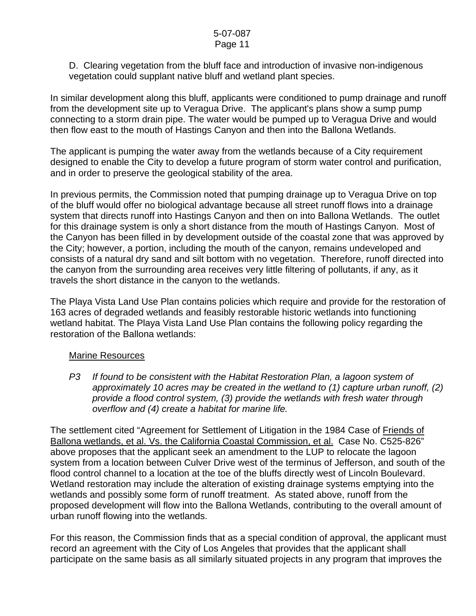D. Clearing vegetation from the bluff face and introduction of invasive non-indigenous vegetation could supplant native bluff and wetland plant species.

In similar development along this bluff, applicants were conditioned to pump drainage and runoff from the development site up to Veragua Drive. The applicant's plans show a sump pump connecting to a storm drain pipe. The water would be pumped up to Veragua Drive and would then flow east to the mouth of Hastings Canyon and then into the Ballona Wetlands.

The applicant is pumping the water away from the wetlands because of a City requirement designed to enable the City to develop a future program of storm water control and purification, and in order to preserve the geological stability of the area.

In previous permits, the Commission noted that pumping drainage up to Veragua Drive on top of the bluff would offer no biological advantage because all street runoff flows into a drainage system that directs runoff into Hastings Canyon and then on into Ballona Wetlands. The outlet for this drainage system is only a short distance from the mouth of Hastings Canyon. Most of the Canyon has been filled in by development outside of the coastal zone that was approved by the City; however, a portion, including the mouth of the canyon, remains undeveloped and consists of a natural dry sand and silt bottom with no vegetation. Therefore, runoff directed into the canyon from the surrounding area receives very little filtering of pollutants, if any, as it travels the short distance in the canyon to the wetlands.

The Playa Vista Land Use Plan contains policies which require and provide for the restoration of 163 acres of degraded wetlands and feasibly restorable historic wetlands into functioning wetland habitat. The Playa Vista Land Use Plan contains the following policy regarding the restoration of the Ballona wetlands:

### Marine Resources

*P3 If found to be consistent with the Habitat Restoration Plan, a lagoon system of approximately 10 acres may be created in the wetland to (1) capture urban runoff, (2) provide a flood control system, (3) provide the wetlands with fresh water through overflow and (4) create a habitat for marine life.* 

The settlement cited "Agreement for Settlement of Litigation in the 1984 Case of Friends of Ballona wetlands, et al. Vs. the California Coastal Commission, et al. Case No. C525-826" above proposes that the applicant seek an amendment to the LUP to relocate the lagoon system from a location between Culver Drive west of the terminus of Jefferson, and south of the flood control channel to a location at the toe of the bluffs directly west of Lincoln Boulevard. Wetland restoration may include the alteration of existing drainage systems emptying into the wetlands and possibly some form of runoff treatment. As stated above, runoff from the proposed development will flow into the Ballona Wetlands, contributing to the overall amount of urban runoff flowing into the wetlands.

For this reason, the Commission finds that as a special condition of approval, the applicant must record an agreement with the City of Los Angeles that provides that the applicant shall participate on the same basis as all similarly situated projects in any program that improves the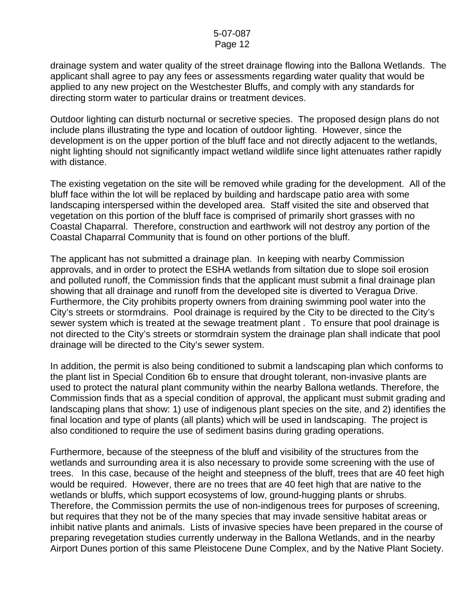drainage system and water quality of the street drainage flowing into the Ballona Wetlands. The applicant shall agree to pay any fees or assessments regarding water quality that would be applied to any new project on the Westchester Bluffs, and comply with any standards for directing storm water to particular drains or treatment devices.

Outdoor lighting can disturb nocturnal or secretive species. The proposed design plans do not include plans illustrating the type and location of outdoor lighting. However, since the development is on the upper portion of the bluff face and not directly adjacent to the wetlands, night lighting should not significantly impact wetland wildlife since light attenuates rather rapidly with distance.

The existing vegetation on the site will be removed while grading for the development. All of the bluff face within the lot will be replaced by building and hardscape patio area with some landscaping interspersed within the developed area. Staff visited the site and observed that vegetation on this portion of the bluff face is comprised of primarily short grasses with no Coastal Chaparral. Therefore, construction and earthwork will not destroy any portion of the Coastal Chaparral Community that is found on other portions of the bluff.

The applicant has not submitted a drainage plan. In keeping with nearby Commission approvals, and in order to protect the ESHA wetlands from siltation due to slope soil erosion and polluted runoff, the Commission finds that the applicant must submit a final drainage plan showing that all drainage and runoff from the developed site is diverted to Veragua Drive. Furthermore, the City prohibits property owners from draining swimming pool water into the City's streets or stormdrains. Pool drainage is required by the City to be directed to the City's sewer system which is treated at the sewage treatment plant . To ensure that pool drainage is not directed to the City's streets or stormdrain system the drainage plan shall indicate that pool drainage will be directed to the City's sewer system.

In addition, the permit is also being conditioned to submit a landscaping plan which conforms to the plant list in Special Condition 6b to ensure that drought tolerant, non-invasive plants are used to protect the natural plant community within the nearby Ballona wetlands. Therefore, the Commission finds that as a special condition of approval, the applicant must submit grading and landscaping plans that show: 1) use of indigenous plant species on the site, and 2) identifies the final location and type of plants (all plants) which will be used in landscaping. The project is also conditioned to require the use of sediment basins during grading operations.

Furthermore, because of the steepness of the bluff and visibility of the structures from the wetlands and surrounding area it is also necessary to provide some screening with the use of trees. In this case, because of the height and steepness of the bluff, trees that are 40 feet high would be required. However, there are no trees that are 40 feet high that are native to the wetlands or bluffs, which support ecosystems of low, ground-hugging plants or shrubs. Therefore, the Commission permits the use of non-indigenous trees for purposes of screening, but requires that they not be of the many species that may invade sensitive habitat areas or inhibit native plants and animals. Lists of invasive species have been prepared in the course of preparing revegetation studies currently underway in the Ballona Wetlands, and in the nearby Airport Dunes portion of this same Pleistocene Dune Complex, and by the Native Plant Society.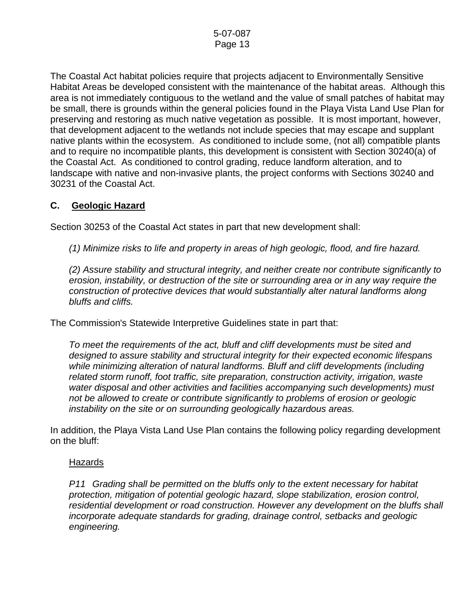The Coastal Act habitat policies require that projects adjacent to Environmentally Sensitive Habitat Areas be developed consistent with the maintenance of the habitat areas. Although this area is not immediately contiguous to the wetland and the value of small patches of habitat may be small, there is grounds within the general policies found in the Playa Vista Land Use Plan for preserving and restoring as much native vegetation as possible. It is most important, however, that development adjacent to the wetlands not include species that may escape and supplant native plants within the ecosystem. As conditioned to include some, (not all) compatible plants and to require no incompatible plants, this development is consistent with Section 30240(a) of the Coastal Act. As conditioned to control grading, reduce landform alteration, and to landscape with native and non-invasive plants, the project conforms with Sections 30240 and 30231 of the Coastal Act.

### **C. Geologic Hazard**

Section 30253 of the Coastal Act states in part that new development shall:

*(1) Minimize risks to life and property in areas of high geologic, flood, and fire hazard.* 

 *(2) Assure stability and structural integrity, and neither create nor contribute significantly to erosion, instability, or destruction of the site or surrounding area or in any way require the construction of protective devices that would substantially alter natural landforms along bluffs and cliffs.* 

The Commission's Statewide Interpretive Guidelines state in part that:

*To meet the requirements of the act, bluff and cliff developments must be sited and designed to assure stability and structural integrity for their expected economic lifespans while minimizing alteration of natural landforms. Bluff and cliff developments (including related storm runoff, foot traffic, site preparation, construction activity, irrigation, waste water disposal and other activities and facilities accompanying such developments) must not be allowed to create or contribute significantly to problems of erosion or geologic instability on the site or on surrounding geologically hazardous areas.* 

In addition, the Playa Vista Land Use Plan contains the following policy regarding development on the bluff:

#### Hazards

*P11 Grading shall be permitted on the bluffs only to the extent necessary for habitat protection, mitigation of potential geologic hazard, slope stabilization, erosion control, residential development or road construction. However any development on the bluffs shall incorporate adequate standards for grading, drainage control, setbacks and geologic engineering.*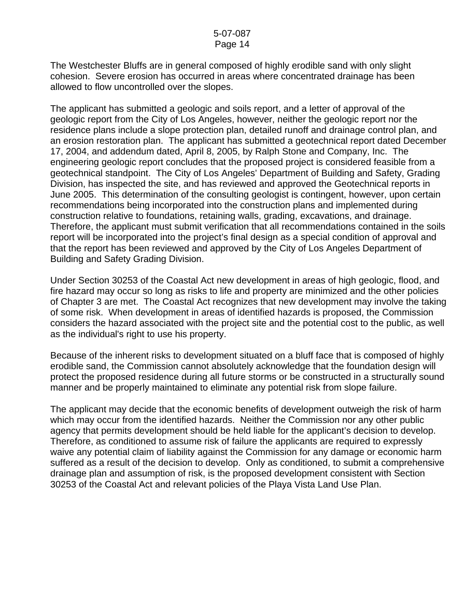The Westchester Bluffs are in general composed of highly erodible sand with only slight cohesion. Severe erosion has occurred in areas where concentrated drainage has been allowed to flow uncontrolled over the slopes.

The applicant has submitted a geologic and soils report, and a letter of approval of the geologic report from the City of Los Angeles, however, neither the geologic report nor the residence plans include a slope protection plan, detailed runoff and drainage control plan, and an erosion restoration plan. The applicant has submitted a geotechnical report dated December 17, 2004, and addendum dated, April 8, 2005, by Ralph Stone and Company, Inc. The engineering geologic report concludes that the proposed project is considered feasible from a geotechnical standpoint. The City of Los Angeles' Department of Building and Safety, Grading Division, has inspected the site, and has reviewed and approved the Geotechnical reports in June 2005. This determination of the consulting geologist is contingent, however, upon certain recommendations being incorporated into the construction plans and implemented during construction relative to foundations, retaining walls, grading, excavations, and drainage. Therefore, the applicant must submit verification that all recommendations contained in the soils report will be incorporated into the project's final design as a special condition of approval and that the report has been reviewed and approved by the City of Los Angeles Department of Building and Safety Grading Division.

Under Section 30253 of the Coastal Act new development in areas of high geologic, flood, and fire hazard may occur so long as risks to life and property are minimized and the other policies of Chapter 3 are met. The Coastal Act recognizes that new development may involve the taking of some risk. When development in areas of identified hazards is proposed, the Commission considers the hazard associated with the project site and the potential cost to the public, as well as the individual's right to use his property.

Because of the inherent risks to development situated on a bluff face that is composed of highly erodible sand, the Commission cannot absolutely acknowledge that the foundation design will protect the proposed residence during all future storms or be constructed in a structurally sound manner and be properly maintained to eliminate any potential risk from slope failure.

The applicant may decide that the economic benefits of development outweigh the risk of harm which may occur from the identified hazards. Neither the Commission nor any other public agency that permits development should be held liable for the applicant's decision to develop. Therefore, as conditioned to assume risk of failure the applicants are required to expressly waive any potential claim of liability against the Commission for any damage or economic harm suffered as a result of the decision to develop. Only as conditioned, to submit a comprehensive drainage plan and assumption of risk, is the proposed development consistent with Section 30253 of the Coastal Act and relevant policies of the Playa Vista Land Use Plan.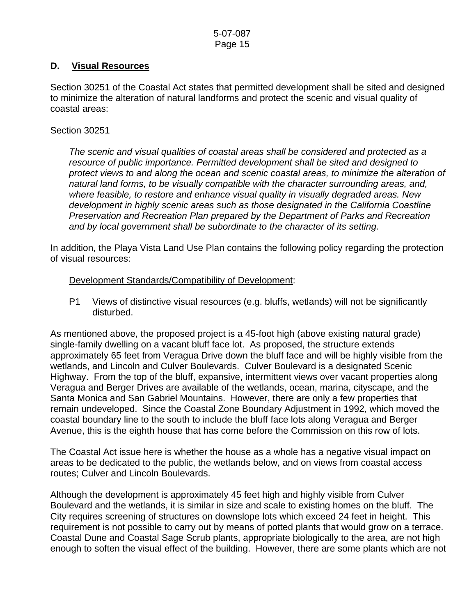### **D. Visual Resources**

Section 30251 of the Coastal Act states that permitted development shall be sited and designed to minimize the alteration of natural landforms and protect the scenic and visual quality of coastal areas:

#### Section 30251

*The scenic and visual qualities of coastal areas shall be considered and protected as a resource of public importance. Permitted development shall be sited and designed to protect views to and along the ocean and scenic coastal areas, to minimize the alteration of natural land forms, to be visually compatible with the character surrounding areas, and, where feasible, to restore and enhance visual quality in visually degraded areas. New development in highly scenic areas such as those designated in the California Coastline Preservation and Recreation Plan prepared by the Department of Parks and Recreation and by local government shall be subordinate to the character of its setting.* 

In addition, the Playa Vista Land Use Plan contains the following policy regarding the protection of visual resources:

Development Standards/Compatibility of Development:

 P1 Views of distinctive visual resources (e.g. bluffs, wetlands) will not be significantly disturbed.

As mentioned above, the proposed project is a 45-foot high (above existing natural grade) single-family dwelling on a vacant bluff face lot. As proposed, the structure extends approximately 65 feet from Veragua Drive down the bluff face and will be highly visible from the wetlands, and Lincoln and Culver Boulevards. Culver Boulevard is a designated Scenic Highway. From the top of the bluff, expansive, intermittent views over vacant properties along Veragua and Berger Drives are available of the wetlands, ocean, marina, cityscape, and the Santa Monica and San Gabriel Mountains. However, there are only a few properties that remain undeveloped. Since the Coastal Zone Boundary Adjustment in 1992, which moved the coastal boundary line to the south to include the bluff face lots along Veragua and Berger Avenue, this is the eighth house that has come before the Commission on this row of lots.

The Coastal Act issue here is whether the house as a whole has a negative visual impact on areas to be dedicated to the public, the wetlands below, and on views from coastal access routes; Culver and Lincoln Boulevards.

Although the development is approximately 45 feet high and highly visible from Culver Boulevard and the wetlands, it is similar in size and scale to existing homes on the bluff. The City requires screening of structures on downslope lots which exceed 24 feet in height. This requirement is not possible to carry out by means of potted plants that would grow on a terrace. Coastal Dune and Coastal Sage Scrub plants, appropriate biologically to the area, are not high enough to soften the visual effect of the building. However, there are some plants which are not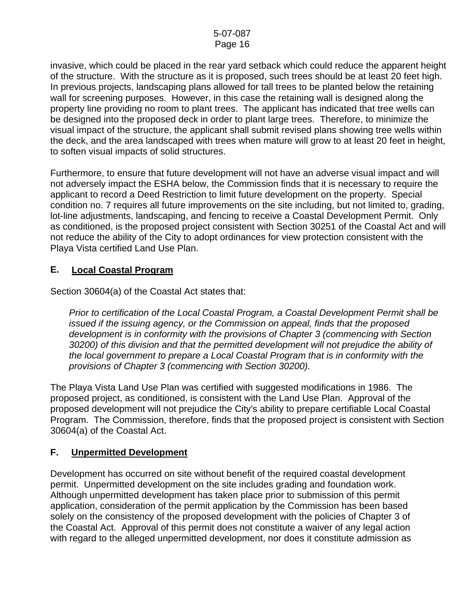invasive, which could be placed in the rear yard setback which could reduce the apparent height of the structure. With the structure as it is proposed, such trees should be at least 20 feet high. In previous projects, landscaping plans allowed for tall trees to be planted below the retaining wall for screening purposes. However, in this case the retaining wall is designed along the property line providing no room to plant trees. The applicant has indicated that tree wells can be designed into the proposed deck in order to plant large trees. Therefore, to minimize the visual impact of the structure, the applicant shall submit revised plans showing tree wells within the deck, and the area landscaped with trees when mature will grow to at least 20 feet in height, to soften visual impacts of solid structures.

Furthermore, to ensure that future development will not have an adverse visual impact and will not adversely impact the ESHA below, the Commission finds that it is necessary to require the applicant to record a Deed Restriction to limit future development on the property. Special condition no. 7 requires all future improvements on the site including, but not limited to, grading, lot-line adjustments, landscaping, and fencing to receive a Coastal Development Permit. Only as conditioned, is the proposed project consistent with Section 30251 of the Coastal Act and will not reduce the ability of the City to adopt ordinances for view protection consistent with the Playa Vista certified Land Use Plan.

### **E. Local Coastal Program**

Section 30604(a) of the Coastal Act states that:

*Prior to certification of the Local Coastal Program, a Coastal Development Permit shall be issued if the issuing agency, or the Commission on appeal, finds that the proposed development is in conformity with the provisions of Chapter 3 (commencing with Section*  30200) of this division and that the permitted development will not prejudice the ability of *the local government to prepare a Local Coastal Program that is in conformity with the provisions of Chapter 3 (commencing with Section 30200).* 

The Playa Vista Land Use Plan was certified with suggested modifications in 1986. The proposed project, as conditioned, is consistent with the Land Use Plan. Approval of the proposed development will not prejudice the City's ability to prepare certifiable Local Coastal Program. The Commission, therefore, finds that the proposed project is consistent with Section 30604(a) of the Coastal Act.

## **F. Unpermitted Development**

Development has occurred on site without benefit of the required coastal development permit. Unpermitted development on the site includes grading and foundation work. Although unpermitted development has taken place prior to submission of this permit application, consideration of the permit application by the Commission has been based solely on the consistency of the proposed development with the policies of Chapter 3 of the Coastal Act. Approval of this permit does not constitute a waiver of any legal action with regard to the alleged unpermitted development, nor does it constitute admission as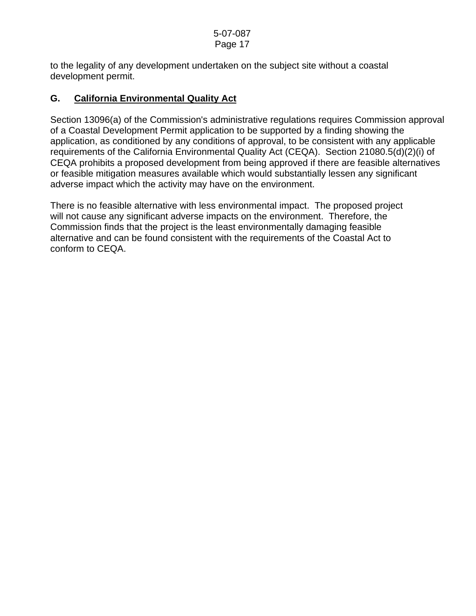to the legality of any development undertaken on the subject site without a coastal development permit.

## **G. California Environmental Quality Act**

Section 13096(a) of the Commission's administrative regulations requires Commission approval of a Coastal Development Permit application to be supported by a finding showing the application, as conditioned by any conditions of approval, to be consistent with any applicable requirements of the California Environmental Quality Act (CEQA). Section 21080.5(d)(2)(i) of CEQA prohibits a proposed development from being approved if there are feasible alternatives or feasible mitigation measures available which would substantially lessen any significant adverse impact which the activity may have on the environment.

There is no feasible alternative with less environmental impact. The proposed project will not cause any significant adverse impacts on the environment. Therefore, the Commission finds that the project is the least environmentally damaging feasible alternative and can be found consistent with the requirements of the Coastal Act to conform to CEQA.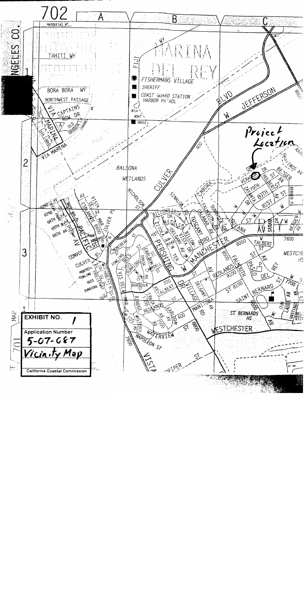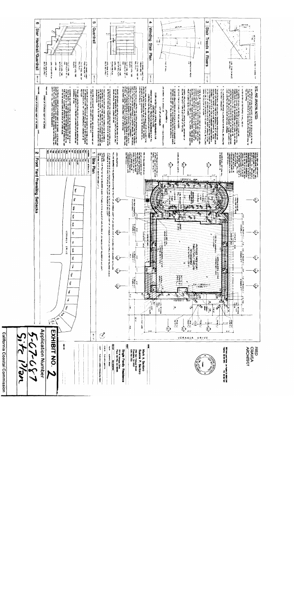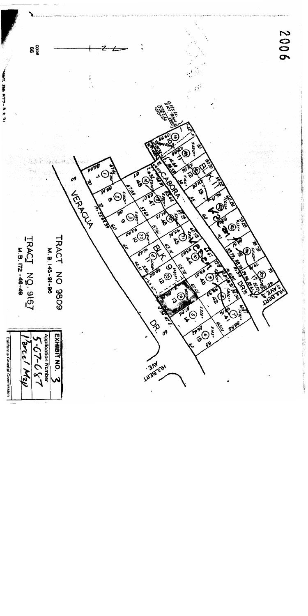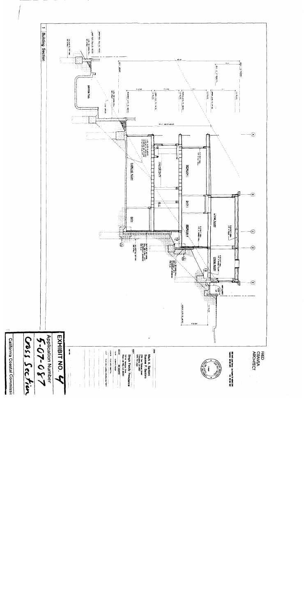